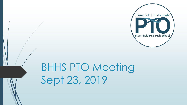

## BHHS PTO Meeting Sept 23, 2019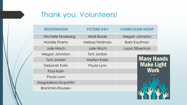## Thank you, Volunteers!

| <b>REGISTRATION</b>      | <b>PICTURE DAY</b>   | <b>CURRICULUM NIGHT</b> |  |
|--------------------------|----------------------|-------------------------|--|
| Michelle Feneberg        | <b>Heidi Brode</b>   | Megan Johnston          |  |
| <b>Natalie Finerty</b>   | Melissa Feldman      | <b>Barb Kaufman</b>     |  |
| <b>Julie Hirsch</b>      | <b>Julie Hirsch</b>  | Laura Silberman         |  |
| Megan Johnston           | Toni Jordan          |                         |  |
| Toni Jordan              | <b>Marilyn Kales</b> | <b>Many Hands</b>       |  |
| Deborah Kolin            | Paula Lynn           | <b>Make Light</b>       |  |
| Paul Kolin               |                      | Work                    |  |
| Paula Lynn               |                      | John Heywood            |  |
| Magdalena Mcpartlin      |                      |                         |  |
| <b>Branimira Roussev</b> |                      |                         |  |
|                          |                      |                         |  |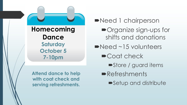

**Need 1 chairperson** 

- Organize sign-ups for shifts and donations
- Need ~15 volunteers
	- Coat check
		- Store / guard items
	- **Refreshments** 
		- Setup and distribute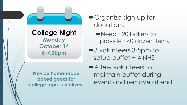

- Organize sign-up for donations.
	- Need ~20 bakers to provide ~40 dozen items
- ■3 volunteers 3-5pm to setup buffet + 4 NHS

A few volunteers to maintain buffet during event and remove at end.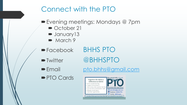

- Evening meetings: Mondays @ 7pm
	- October 21
	- **D** January13
	- March 9
- Facebook BHHS PTO
- 
- $\bullet$ Twitter @BHHSPTO
- 
- **PTO Cards**
- Email [pto.bhhs@gmail.com](mailto:pto.bhhs@gmail.com)

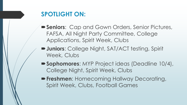## **SPOTLIGHT ON:**

- **Seniors**: Cap and Gown Orders, Senior Pictures, FAFSA, All Night Party Committee, College Applications, Spirit Week, Clubs
- **Juniors**: College Night, SAT/ACT testing, Spirit Week, Clubs
- **Sophomores**: MYP Project ideas (Deadline 10/4), College Night, Spirit Week, Clubs
- **Freshmen**: Homecoming Hallway Decorating, Spirit Week, Clubs, Football Games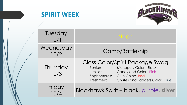



| Tuesday<br>10/1   | Neon.                                                                                                                                                                                                           |  |
|-------------------|-----------------------------------------------------------------------------------------------------------------------------------------------------------------------------------------------------------------|--|
| Wednesday<br>10/2 | Camo/Battleship                                                                                                                                                                                                 |  |
| Thursday<br>10/3  | Class Color/Spirit Package Swag<br><b>Monopoly Color: Black</b><br>Seniors:<br><b>Candyland Color: Pink</b><br>Juniors:<br>Clue Color: Red<br>Sophomores:<br>Freshmen:<br><b>Chutes and Ladders Color: Blue</b> |  |
| Friday            | Blackhawk Spirit - black, purple, silver                                                                                                                                                                        |  |